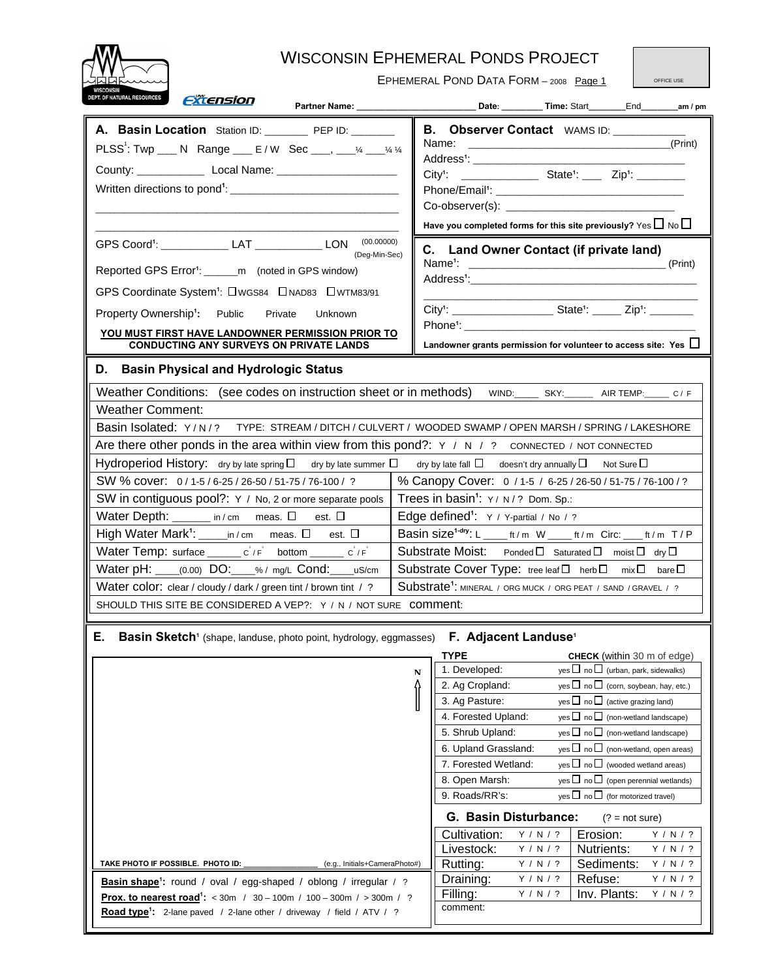

## WISCONSIN EPHEMERAL PONDS PROJECT

EPHEMERAL POND DATA FORM - 2008 Page 1

OFFICE USE

| DEPT. OF NATURAL RESOURCES<br><i><b>Extension</b></i><br>Partner Name: 2008                                                                                                                                                                                                                                                                                                                                                                                                                                                                                                                                                                                                                                                                                                                                                                                                                                                                                                                                                                                                                                                                                                                                                                                                                                                                                                                                                        |                                                                                                                                                                                                                                                                                                                                                                                                                                                                                                                                                                                                                                                                                                                                                                                                                                                                                                                                                                                                                                         |  |  |  |  |  |  |  |  |  |  |
|------------------------------------------------------------------------------------------------------------------------------------------------------------------------------------------------------------------------------------------------------------------------------------------------------------------------------------------------------------------------------------------------------------------------------------------------------------------------------------------------------------------------------------------------------------------------------------------------------------------------------------------------------------------------------------------------------------------------------------------------------------------------------------------------------------------------------------------------------------------------------------------------------------------------------------------------------------------------------------------------------------------------------------------------------------------------------------------------------------------------------------------------------------------------------------------------------------------------------------------------------------------------------------------------------------------------------------------------------------------------------------------------------------------------------------|-----------------------------------------------------------------------------------------------------------------------------------------------------------------------------------------------------------------------------------------------------------------------------------------------------------------------------------------------------------------------------------------------------------------------------------------------------------------------------------------------------------------------------------------------------------------------------------------------------------------------------------------------------------------------------------------------------------------------------------------------------------------------------------------------------------------------------------------------------------------------------------------------------------------------------------------------------------------------------------------------------------------------------------------|--|--|--|--|--|--|--|--|--|--|
| A. Basin Location Station ID: PEP ID: _____<br>PLSS: Twp ___ N Range ___ E/W Sec ___, ___ % __ % %                                                                                                                                                                                                                                                                                                                                                                                                                                                                                                                                                                                                                                                                                                                                                                                                                                                                                                                                                                                                                                                                                                                                                                                                                                                                                                                                 | B. Observer Contact WAMS ID: ________<br>(Print)<br>Address <sup>1</sup> : _________________________<br><b>EXAMPLE 2014</b> State <sup>1</sup> : _____ Zip <sup>1</sup> : ________<br>$City1$ :<br>Have you completed forms for this site previously? $\gamma$ es $\Box$ No $\Box$                                                                                                                                                                                                                                                                                                                                                                                                                                                                                                                                                                                                                                                                                                                                                      |  |  |  |  |  |  |  |  |  |  |
| GPS Coord <sup>1</sup> : _____________ LAT ____________ LON (00.00000)<br>(Deg-Min-Sec)<br>Reported GPS Error <sup>1</sup> : ______m (noted in GPS window)<br>GPS Coordinate System <sup>1</sup> : OWGS84  ONAD83  OWTM83/91<br>Property Ownership <sup>1</sup> : Public<br>Private<br>Unknown<br>YOU MUST FIRST HAVE LANDOWNER PERMISSION PRIOR TO<br><b>CONDUCTING ANY SURVEYS ON PRIVATE LANDS</b>                                                                                                                                                                                                                                                                                                                                                                                                                                                                                                                                                                                                                                                                                                                                                                                                                                                                                                                                                                                                                              | C. Land Owner Contact (if private land)<br>Name <sup>1</sup> :<br>(Print)<br>Landowner grants permission for volunteer to access site: Yes $\Box$                                                                                                                                                                                                                                                                                                                                                                                                                                                                                                                                                                                                                                                                                                                                                                                                                                                                                       |  |  |  |  |  |  |  |  |  |  |
| D. Basin Physical and Hydrologic Status<br>Weather Conditions: (see codes on instruction sheet or in methods)<br>WIND: SKY: ______ AIR TEMP: _____ C / F<br><b>Weather Comment:</b><br>Basin Isolated: Y/N/? TYPE: STREAM/DITCH/CULVERT/WOODED SWAMP/OPEN MARSH/SPRING/LAKESHORE<br>Are there other ponds in the area within view from this pond?: $Y / N / ?$ connected / NOT CONNECTED<br>Hydroperiod History: dry by late spring $\Box$ dry by late summer $\Box$ dry by late fall $\Box$ doesn't dry annually $\Box$ Not Sure $\Box$<br>% Canopy Cover: 0 / 1-5 / 6-25 / 26-50 / 51-75 / 76-100 / ?<br>SW % cover: 0/1-5/6-25/26-50/51-75/76-100/?<br>Trees in basin <sup>1</sup> : Y/ N/? Dom. Sp.:<br>SW in contiguous pool?: Y / No, 2 or more separate pools<br>Water Depth: ______ in / cm  meas. $\square$<br>Edge defined <sup>1</sup> : Y / Y-partial / No / ?<br>est. $\Box$<br>Basin size <sup>1-dry</sup> : L _____ ft/m W _____ ft/m Circ: ____ ft/m T/P<br>Water Temp: surface _______ c'/F' bottom ______ c'/F'<br>Substrate Moist: Ponded D Saturated D moist D dry D<br>Water pH: _____(0.00) DO: ____% / mg/L Cond: _____uS/cm<br>Substrate Cover Type: tree leaf □ herb □ mix □ bare □<br>Water color: clear / cloudy / dark / green tint / brown tint / ?<br>Substrate <sup>1</sup> : MINERAL / ORG MUCK / ORG PEAT / SAND / GRAVEL / ?<br>SHOULD THIS SITE BE CONSIDERED A VEP?: Y / N / NOT SURE COMMENT: |                                                                                                                                                                                                                                                                                                                                                                                                                                                                                                                                                                                                                                                                                                                                                                                                                                                                                                                                                                                                                                         |  |  |  |  |  |  |  |  |  |  |
| Е.<br><b>Basin Sketch</b> <sup>1</sup> (shape, landuse, photo point, hydrology, eggmasses) F. Adjacent Landuse <sup>1</sup><br>(e.g., Initials+CameraPhoto#)<br>TAKE PHOTO IF POSSIBLE. PHOTO ID:<br>Basin shape <sup>1</sup> : round / oval / egg-shaped / oblong / irregular / ?<br><b>Prox. to nearest road<sup>1</sup>:</b> < 30m / 30 - 100m / 100 - 300m / > 300m / ?<br>Road type <sup>1</sup> : 2-lane paved / 2-lane other / driveway / field / ATV / ?                                                                                                                                                                                                                                                                                                                                                                                                                                                                                                                                                                                                                                                                                                                                                                                                                                                                                                                                                                   | <b>TYPE</b><br><b>CHECK</b> (within 30 m of edge)<br>1. Developed:<br>$\cos \Box$ no $\Box$ (urban, park, sidewalks)<br>N<br>yes $\Box$ no $\Box$ (corn, soybean, hay, etc.)<br>2. Ag Cropland:<br>3. Ag Pasture:<br>yes $\Box$ no $\Box$ (active grazing land)<br>4. Forested Upland:<br>yes $\Box$ no $\Box$ (non-wetland landscape)<br>5. Shrub Upland:<br>yes $\Box$ no $\Box$ (non-wetland landscape)<br>yes $\square$ no $\square$ (non-wetland, open areas)<br>6. Upland Grassland:<br>7. Forested Wetland:<br>yes $\Box$ no $\Box$ (wooded wetland areas)<br>8. Open Marsh:<br>yes $\Box$ no $\Box$ (open perennial wetlands)<br>yes $\Box$ no $\Box$ (for motorized travel)<br>9. Roads/RR's:<br>G. Basin Disturbance:<br>$(? = not sure)$<br>Cultivation:<br>Y / N / ?<br>Erosion:<br>Y / N / ?<br>Livestock:<br>Nutrients:<br>Y / N / ?<br>Y / N / ?<br>Rutting:<br>Y / N / ?<br>Sediments:<br>Y / N / ?<br>Refuse:<br>Draining:<br>Y / N / ?<br>Y / N / ?<br>Inv. Plants:<br>Filling:<br>Y / N / ?<br>Y / N / ?<br>comment: |  |  |  |  |  |  |  |  |  |  |